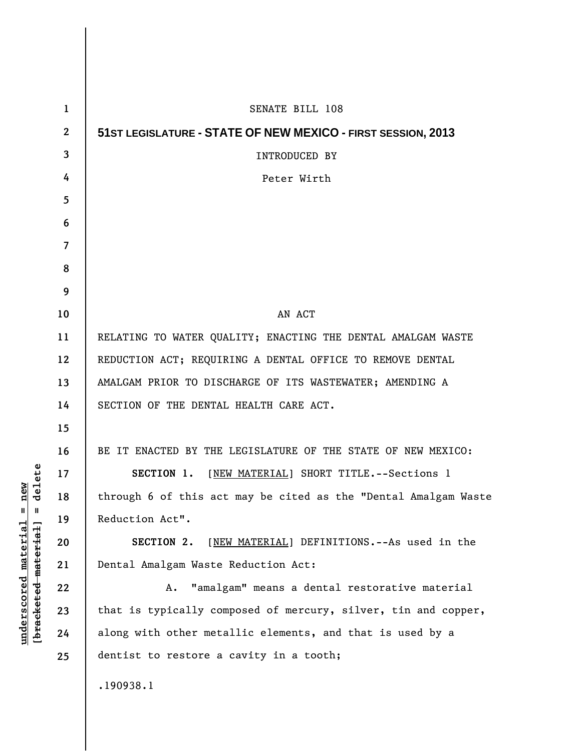| $\mathbf{1}$   | SENATE BILL 108                                                 |
|----------------|-----------------------------------------------------------------|
| $\overline{2}$ | 51ST LEGISLATURE - STATE OF NEW MEXICO - FIRST SESSION, 2013    |
| 3              | INTRODUCED BY                                                   |
| 4              | Peter Wirth                                                     |
| 5              |                                                                 |
| 6              |                                                                 |
| 7              |                                                                 |
| 8              |                                                                 |
| 9              |                                                                 |
| 10             | AN ACT                                                          |
| 11             | RELATING TO WATER QUALITY; ENACTING THE DENTAL AMALGAM WASTE    |
| 12             | REDUCTION ACT; REQUIRING A DENTAL OFFICE TO REMOVE DENTAL       |
| 13             | AMALGAM PRIOR TO DISCHARGE OF ITS WASTEWATER; AMENDING A        |
| 14             | SECTION OF THE DENTAL HEALTH CARE ACT.                          |
| 15             |                                                                 |
| 16             | BE IT ENACTED BY THE LEGISLATURE OF THE STATE OF NEW MEXICO:    |
| 17             | SECTION 1. [NEW MATERIAL] SHORT TITLE. -- Sections 1            |
| 18             | through 6 of this act may be cited as the "Dental Amalgam Waste |
| 19             | Reduction Act".                                                 |
| 20             | [NEW MATERIAL] DEFINITIONS.--As used in the<br>SECTION 2.       |
| 21             | Dental Amalgam Waste Reduction Act:                             |
| 22             | "amalgam" means a dental restorative material<br>Α.             |
| 23             | that is typically composed of mercury, silver, tin and copper,  |
| 24             | along with other metallic elements, and that is used by a       |
| 25             | dentist to restore a cavity in a tooth;                         |
|                | .190938.1                                                       |
|                |                                                                 |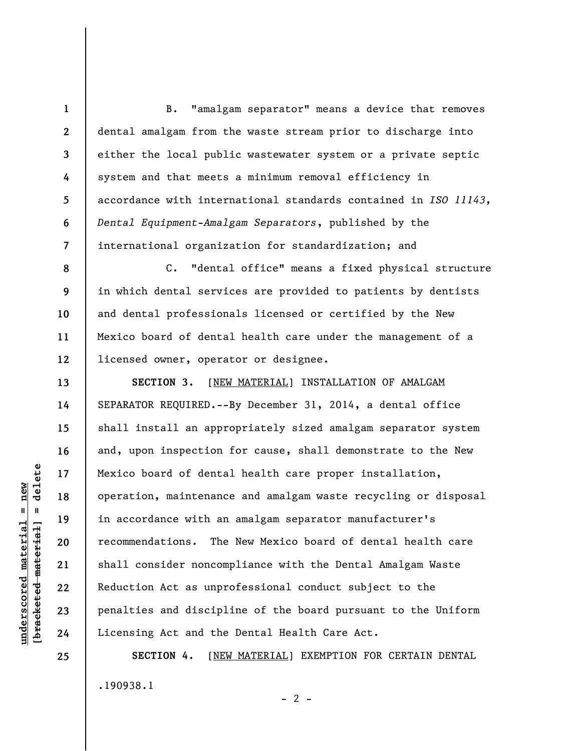B. "amalgam separator" means a device that removes dental amalgam from the waste stream prior to discharge into either the local public wastewater system or a private septic system and that meets a minimum removal efficiency in accordance with international standards contained in *ISO 11143, Dental Equipment-Amalgam Separators*, published by the international organization for standardization; and

C. "dental office" means a fixed physical structure in which dental services are provided to patients by dentists and dental professionals licensed or certified by the New Mexico board of dental health care under the management of a licensed owner, operator or designee.

**SECTION 3.** [NEW MATERIAL] INSTALLATION OF AMALGAM SEPARATOR REQUIRED.--By December 31, 2014, a dental office shall install an appropriately sized amalgam separator system and, upon inspection for cause, shall demonstrate to the New Mexico board of dental health care proper installation, operation, maintenance and amalgam waste recycling or disposal in accordance with an amalgam separator manufacturer's recommendations. The New Mexico board of dental health care shall consider noncompliance with the Dental Amalgam Waste Reduction Act as unprofessional conduct subject to the penalties and discipline of the board pursuant to the Uniform Licensing Act and the Dental Health Care Act.

**SECTION 4.** [NEW MATERIAL] EXEMPTION FOR CERTAIN DENTAL .190938.1

 $- 2 -$ 

 $\frac{1}{2}$  of  $\frac{1}{2}$  and  $\frac{1}{2}$  and  $\frac{1}{2}$  and  $\frac{1}{2}$  and  $\frac{1}{2}$  and  $\frac{1}{2}$  and  $\frac{1}{2}$  and  $\frac{1}{2}$  and  $\frac{1}{2}$  and  $\frac{1}{2}$  and  $\frac{1}{2}$  and  $\frac{1}{2}$  and  $\frac{1}{2}$  and  $\frac{1}{2}$  and  $\frac{1}{2}$  an **[bracketed material] = delete**  $underscored material = new$ **underscored material = new**

**25** 

**1** 

**2** 

**3** 

**4** 

**5** 

**6** 

**7** 

**8** 

**9** 

**10** 

**11** 

**12** 

**13** 

**14** 

**15** 

**16** 

**17** 

**18** 

**19** 

**20** 

**21** 

**22** 

**23** 

**24**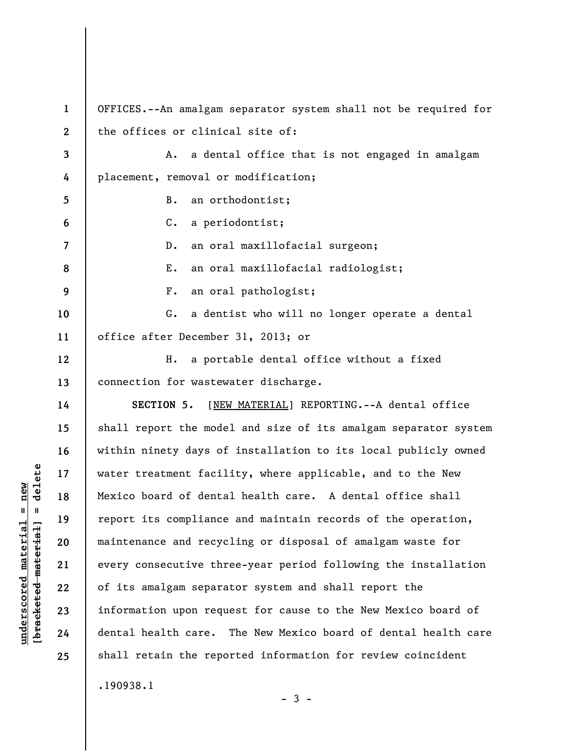**1 2 3 4 5 6 7 8 9 10 11 12 13 14 15 16 17 18 19 20 21 22 23 24 25**  OFFICES.--An amalgam separator system shall not be required for the offices or clinical site of: A. a dental office that is not engaged in amalgam placement, removal or modification; B. an orthodontist; C. a periodontist; D. an oral maxillofacial surgeon; E. an oral maxillofacial radiologist; F. an oral pathologist; G. a dentist who will no longer operate a dental office after December 31, 2013; or H. a portable dental office without a fixed connection for wastewater discharge. **SECTION 5.** [NEW MATERIAL] REPORTING.--A dental office shall report the model and size of its amalgam separator system within ninety days of installation to its local publicly owned water treatment facility, where applicable, and to the New Mexico board of dental health care. A dental office shall report its compliance and maintain records of the operation, maintenance and recycling or disposal of amalgam waste for every consecutive three-year period following the installation of its amalgam separator system and shall report the information upon request for cause to the New Mexico board of dental health care. The New Mexico board of dental health care shall retain the reported information for review coincident .190938.1

 $-3 -$ 

 $\frac{1}{2}$  intereted material = delete **[bracketed material] = delete**  $underscored material = new$ **underscored material = new**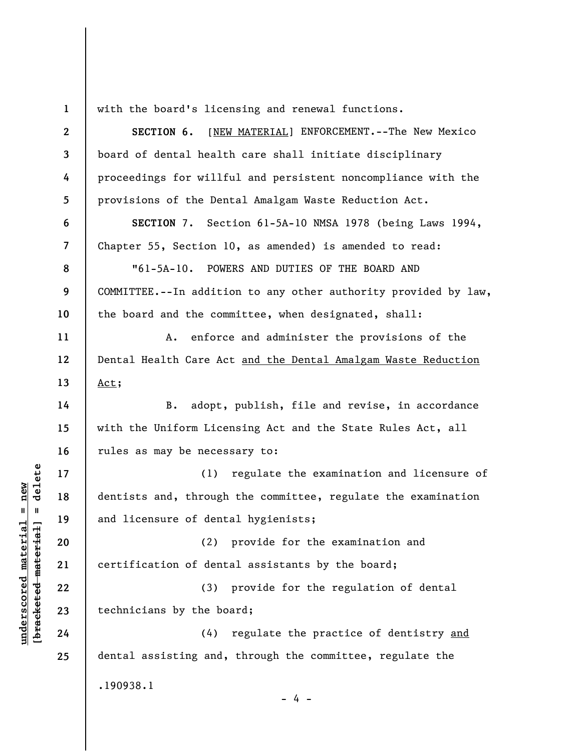**1 2 3 4 5 6 7 8 9 10 11 12 13 14 15 16 17 18 19 20 21 22 23 24 25**  with the board's licensing and renewal functions. **SECTION 6.** [NEW MATERIAL] ENFORCEMENT.--The New Mexico board of dental health care shall initiate disciplinary proceedings for willful and persistent noncompliance with the provisions of the Dental Amalgam Waste Reduction Act. **SECTION** 7. Section 61-5A-10 NMSA 1978 (being Laws 1994, Chapter 55, Section 10, as amended) is amended to read: "61-5A-10. POWERS AND DUTIES OF THE BOARD AND COMMITTEE.--In addition to any other authority provided by law, the board and the committee, when designated, shall: A. enforce and administer the provisions of the Dental Health Care Act and the Dental Amalgam Waste Reduction Act; B. adopt, publish, file and revise, in accordance with the Uniform Licensing Act and the State Rules Act, all rules as may be necessary to: (1) regulate the examination and licensure of dentists and, through the committee, regulate the examination and licensure of dental hygienists; (2) provide for the examination and certification of dental assistants by the board; (3) provide for the regulation of dental technicians by the board; (4) regulate the practice of dentistry and dental assisting and, through the committee, regulate the .190938.1

 $\frac{1}{2}$  intereted material = delete **[bracketed material] = delete**  $underscored$  material = new **underscored material = new**

- 4 -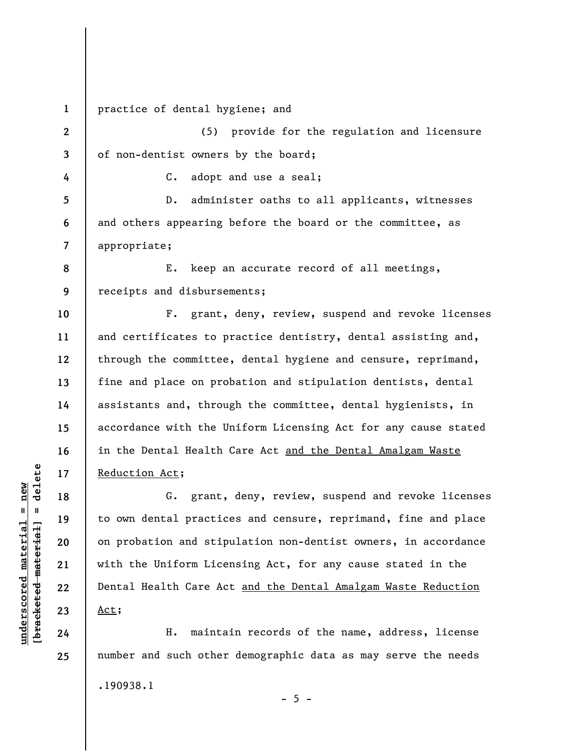**1**  practice of dental hygiene; and

**2 3**  (5) provide for the regulation and licensure of non-dentist owners by the board;

C. adopt and use a seal;

D. administer oaths to all applicants, witnesses and others appearing before the board or the committee, as appropriate;

**8 9**  E. keep an accurate record of all meetings, receipts and disbursements;

**10 11 12 13 14 15 16 17**  F. grant, deny, review, suspend and revoke licenses and certificates to practice dentistry, dental assisting and, through the committee, dental hygiene and censure, reprimand, fine and place on probation and stipulation dentists, dental assistants and, through the committee, dental hygienists, in accordance with the Uniform Licensing Act for any cause stated in the Dental Health Care Act and the Dental Amalgam Waste Reduction Act;

G. grant, deny, review, suspend and revoke licenses to own dental practices and censure, reprimand, fine and place on probation and stipulation non-dentist owners, in accordance with the Uniform Licensing Act, for any cause stated in the Dental Health Care Act and the Dental Amalgam Waste Reduction Act;

H. maintain records of the name, address, license number and such other demographic data as may serve the needs .190938.1  $- 5 -$ 

 $\frac{1}{2}$  of  $\frac{1}{2}$  and  $\frac{1}{2}$  and  $\frac{1}{2}$  and  $\frac{1}{2}$  and  $\frac{1}{2}$  and  $\frac{1}{2}$  and  $\frac{1}{2}$  and  $\frac{1}{2}$  and  $\frac{1}{2}$  and  $\frac{1}{2}$  and  $\frac{1}{2}$  and  $\frac{1}{2}$  and  $\frac{1}{2}$  and  $\frac{1}{2}$  and  $\frac{1}{2}$  an **[bracketed material] = delete**  $underscored material = new$ **underscored material = new**

**18** 

**19** 

**20** 

**21** 

**22** 

**23** 

**24** 

**25** 

**4** 

**5** 

**6** 

**7**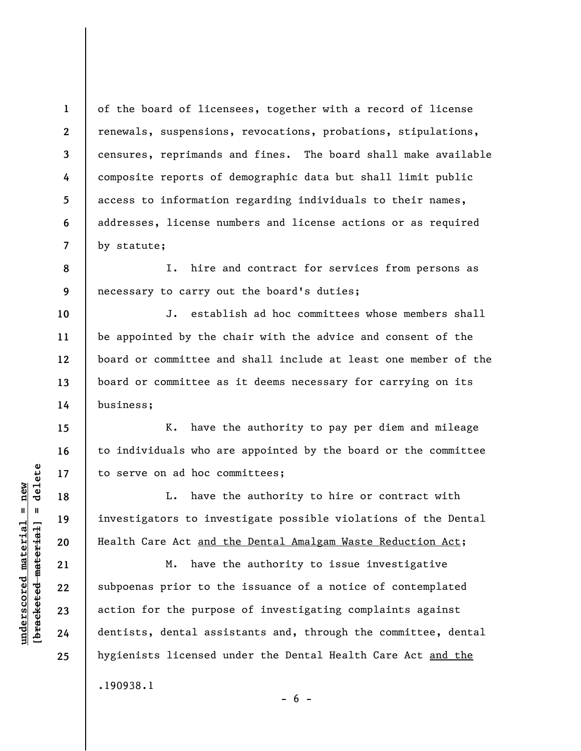**1 2 3 4 5 6 7**  of the board of licensees, together with a record of license renewals, suspensions, revocations, probations, stipulations, censures, reprimands and fines. The board shall make available composite reports of demographic data but shall limit public access to information regarding individuals to their names, addresses, license numbers and license actions or as required by statute;

**8 9**  I. hire and contract for services from persons as necessary to carry out the board's duties;

J. establish ad hoc committees whose members shall be appointed by the chair with the advice and consent of the board or committee and shall include at least one member of the board or committee as it deems necessary for carrying on its business;

K. have the authority to pay per diem and mileage to individuals who are appointed by the board or the committee to serve on ad hoc committees;

L. have the authority to hire or contract with investigators to investigate possible violations of the Dental Health Care Act and the Dental Amalgam Waste Reduction Act;

M. have the authority to issue investigative subpoenas prior to the issuance of a notice of contemplated action for the purpose of investigating complaints against dentists, dental assistants and, through the committee, dental hygienists licensed under the Dental Health Care Act and the .190938.1

 $\frac{1}{2}$  intereted material = delete **[bracketed material] = delete**  $underscored material = new$ **underscored material = new**

**10** 

**11** 

**12** 

**13** 

**14** 

**15** 

**16** 

**17** 

**18** 

**19** 

**20** 

**21** 

**22** 

**23** 

**24** 

**25** 

 $- 6 -$